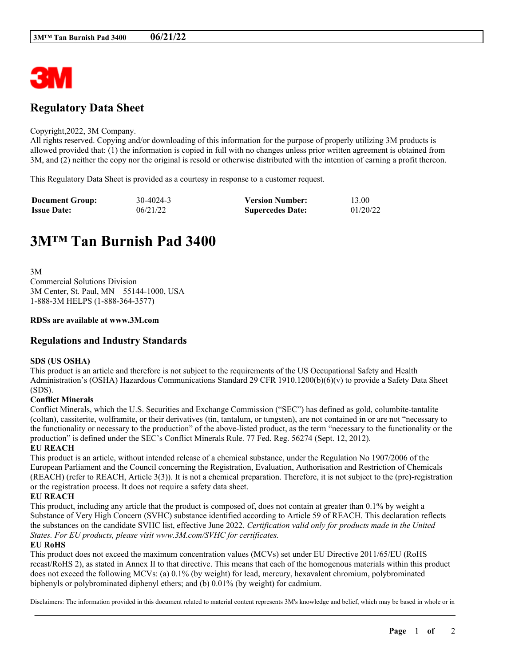

## **Regulatory Data Sheet**

### Copyright,2022, 3M Company.

All rights reserved. Copying and/or downloading of this information for the purpose of properly utilizing 3M products is allowed provided that: (1) the information is copied in full with no changes unless prior written agreement is obtained from 3M, and (2) neither the copy nor the original is resold or otherwise distributed with the intention of earning a profit thereon.

This Regulatory Data Sheet is provided as a courtesy in response to a customer request.

| <b>Document Group:</b> | 30-4024-3 | <b>Version Number:</b>  | 13.00    |
|------------------------|-----------|-------------------------|----------|
| <b>Issue Date:</b>     | 06/21/22  | <b>Supercedes Date:</b> | 01/20/22 |

# **3M™ Tan Burnish Pad 3400**

3M Commercial Solutions Division 3M Center, St. Paul, MN 55144-1000, USA 1-888-3M HELPS (1-888-364-3577)

## **RDSs are available at www.3M.com**

## **Regulations and Industry Standards**

## **SDS (US OSHA)**

This product is an article and therefore is not subject to the requirements of the US Occupational Safety and Health Administration's (OSHA) Hazardous Communications Standard 29 CFR 1910.1200(b)(6)(v) to provide a Safety Data Sheet (SDS).

## **Conflict Minerals**

Conflict Minerals, which the U.S. Securities and Exchange Commission ("SEC") has defined as gold, columbite-tantalite (coltan), cassiterite, wolframite, or their derivatives (tin, tantalum, or tungsten), are not contained in or are not "necessary to the functionality or necessary to the production" of the above-listed product, as the term "necessary to the functionality or the production" is defined under the SEC's Conflict Minerals Rule. 77 Fed. Reg. 56274 (Sept. 12, 2012).

**EU REACH**

This product is an article, without intended release of a chemical substance, under the Regulation No 1907/2006 of the European Parliament and the Council concerning the Registration, Evaluation, Authorisation and Restriction of Chemicals (REACH) (refer to REACH, Article 3(3)). It is not a chemical preparation. Therefore, it is not subject to the (pre)-registration or the registration process. It does not require a safety data sheet.

## **EU REACH**

This product, including any article that the product is composed of, does not contain at greater than 0.1% by weight a Substance of Very High Concern (SVHC) substance identified according to Article 59 of REACH. This declaration reflects the substances on the candidate SVHC list, effective June 2022. *Certification valid only for products made in the United States. For EU products, please visit www.3M.com/SVHC for certificates.*

### **EU RoHS**

This product does not exceed the maximum concentration values (MCVs) set under EU Directive 2011/65/EU (RoHS recast/RoHS 2), as stated in Annex II to that directive. This means that each of the homogenous materials within this product does not exceed the following MCVs: (a) 0.1% (by weight) for lead, mercury, hexavalent chromium, polybrominated biphenyls or polybrominated diphenyl ethers; and (b) 0.01% (by weight) for cadmium.

\_\_\_\_\_\_\_\_\_\_\_\_\_\_\_\_\_\_\_\_\_\_\_\_\_\_\_\_\_\_\_\_\_\_\_\_\_\_\_\_\_\_\_\_\_\_\_\_\_\_\_\_\_\_\_\_\_\_\_\_\_\_\_\_\_\_\_\_\_\_\_\_\_\_\_\_\_\_\_\_\_\_\_\_\_\_\_\_\_\_ Disclaimers: The information provided in this document related to material content represents 3M's knowledge and belief, which may be based in whole or in